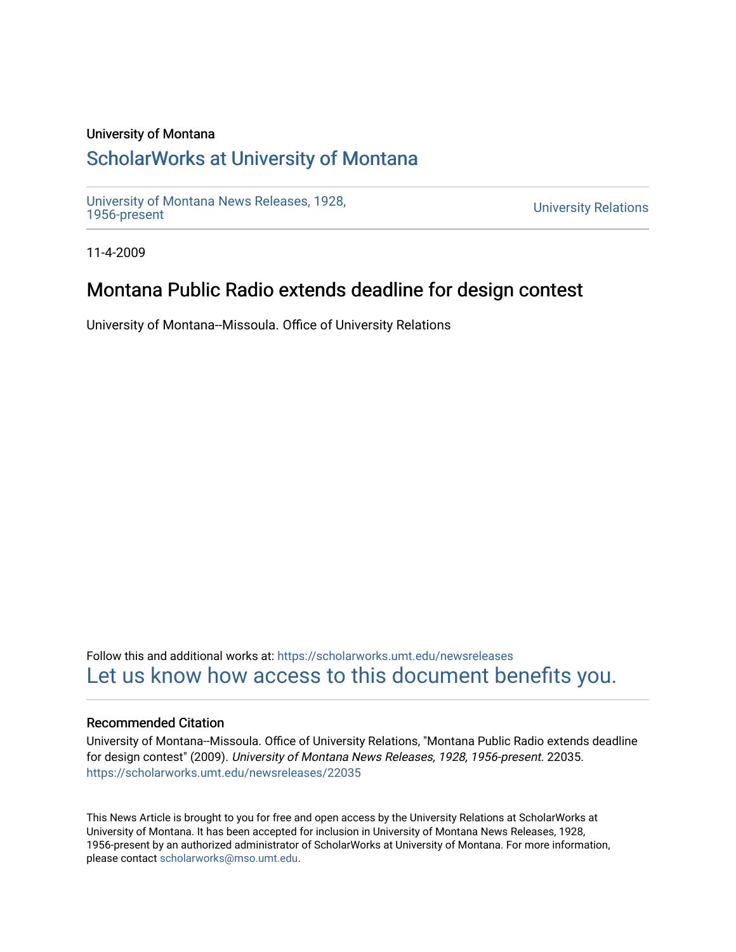#### University of Montana

# [ScholarWorks at University of Montana](https://scholarworks.umt.edu/)

[University of Montana News Releases, 1928,](https://scholarworks.umt.edu/newsreleases) 

**University Relations** 

11-4-2009

## Montana Public Radio extends deadline for design contest

University of Montana--Missoula. Office of University Relations

Follow this and additional works at: [https://scholarworks.umt.edu/newsreleases](https://scholarworks.umt.edu/newsreleases?utm_source=scholarworks.umt.edu%2Fnewsreleases%2F22035&utm_medium=PDF&utm_campaign=PDFCoverPages) [Let us know how access to this document benefits you.](https://goo.gl/forms/s2rGfXOLzz71qgsB2) 

#### Recommended Citation

University of Montana--Missoula. Office of University Relations, "Montana Public Radio extends deadline for design contest" (2009). University of Montana News Releases, 1928, 1956-present. 22035. [https://scholarworks.umt.edu/newsreleases/22035](https://scholarworks.umt.edu/newsreleases/22035?utm_source=scholarworks.umt.edu%2Fnewsreleases%2F22035&utm_medium=PDF&utm_campaign=PDFCoverPages) 

This News Article is brought to you for free and open access by the University Relations at ScholarWorks at University of Montana. It has been accepted for inclusion in University of Montana News Releases, 1928, 1956-present by an authorized administrator of ScholarWorks at University of Montana. For more information, please contact [scholarworks@mso.umt.edu.](mailto:scholarworks@mso.umt.edu)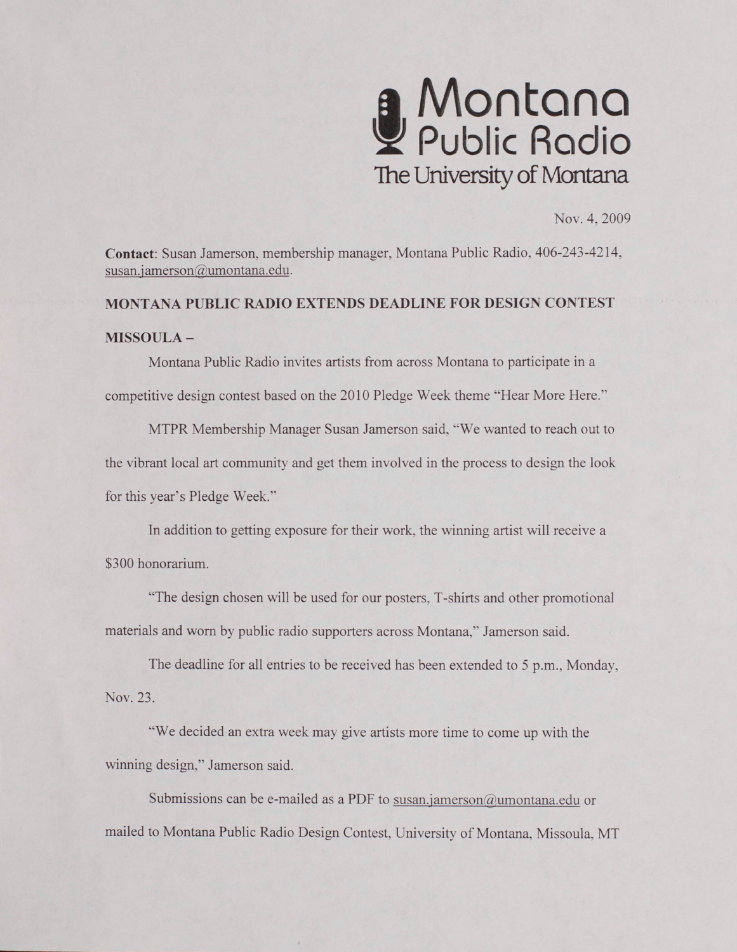

Nov. 4, 2009

**Contact:** Susan Jamerson. membership manager, Montana Public Radio, 406-243-4214. susan.jamerson@umontana.edu.

### **MONTANA PUBLIC RADIO EXTENDS DEADLINE FOR DESIGN CONTEST**

#### **MISSOULA -**

Montana Public Radio invites artists from across Montana to participate in a competitive design contest based on the 2010 Pledge Week theme "Hear More Here."

MTPR Membership Manager Susan Jamerson said, "We wanted to reach out to the vibrant local art community and get them involved in the process to design the look for this year's Pledge Week."

In addition to getting exposure for their work, the winning artist will receive a \$300 honorarium.

"The design chosen will be used for our posters, T-shirts and other promotional materials and worn by public radio supporters across Montana," Jamerson said.

The deadline for all entries to be received has been extended to 5 p.m.. Monday, Nov. 23.

"We decided an extra week may give artists more time to come up with the winning design," Jamerson said.

Submissions can be e-mailed as a PDF to susan.jamerson@umontana.edu or mailed to Montana Public Radio Design Contest, University of Montana. Missoula. MT